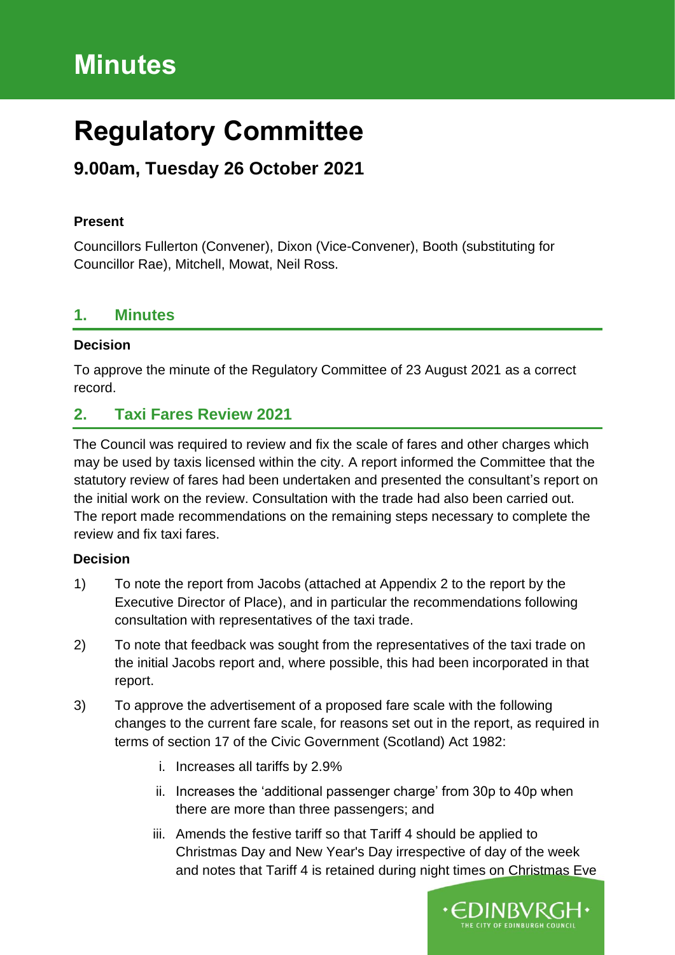# **Minutes**

# **Regulatory Committee**

# **9.00am, Tuesday 26 October 2021**

### **Present**

Councillors Fullerton (Convener), Dixon (Vice-Convener), Booth (substituting for Councillor Rae), Mitchell, Mowat, Neil Ross.

### **1. Minutes**

#### **Decision**

To approve the minute of the Regulatory Committee of 23 August 2021 as a correct record.

## **2. Taxi Fares Review 2021**

The Council was required to review and fix the scale of fares and other charges which may be used by taxis licensed within the city. A report informed the Committee that the statutory review of fares had been undertaken and presented the consultant's report on the initial work on the review. Consultation with the trade had also been carried out. The report made recommendations on the remaining steps necessary to complete the review and fix taxi fares.

#### **Decision**

- 1) To note the report from Jacobs (attached at Appendix 2 to the report by the Executive Director of Place), and in particular the recommendations following consultation with representatives of the taxi trade.
- 2) To note that feedback was sought from the representatives of the taxi trade on the initial Jacobs report and, where possible, this had been incorporated in that report.
- 3) To approve the advertisement of a proposed fare scale with the following changes to the current fare scale, for reasons set out in the report, as required in terms of section 17 of the Civic Government (Scotland) Act 1982:
	- i. Increases all tariffs by 2.9%
	- ii. Increases the 'additional passenger charge' from 30p to 40p when there are more than three passengers; and
	- iii. Amends the festive tariff so that Tariff 4 should be applied to Christmas Day and New Year's Day irrespective of day of the week and notes that Tariff 4 is retained during night times on Christmas Eve